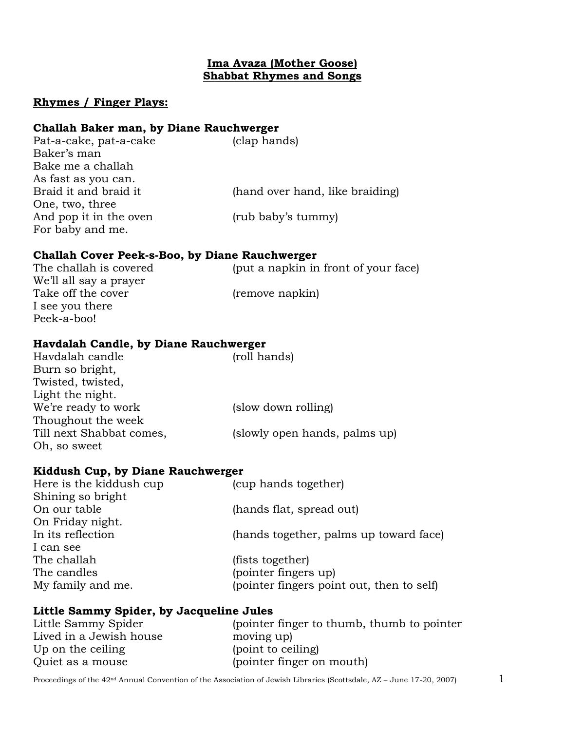### **Ima Avaza (Mother Goose) Shabbat Rhymes and Songs**

## **Rhymes / Finger Plays:**

#### **Challah Baker man, by Diane Rauchwerger**

| Pat-a-cake, pat-a-cake | (clap hands)                    |
|------------------------|---------------------------------|
| Baker's man            |                                 |
| Bake me a challah      |                                 |
| As fast as you can.    |                                 |
| Braid it and braid it  | (hand over hand, like braiding) |
| One, two, three        |                                 |
| And pop it in the oven | (rub baby's tummy)              |
| For baby and me.       |                                 |

## **Challah Cover Peek-s-Boo, by Diane Rauchwerger**

| Havdalah Candle, by Diane Rauchwerger |                                      |  |
|---------------------------------------|--------------------------------------|--|
| Peek-a-boo!                           |                                      |  |
| I see you there                       |                                      |  |
| Take off the cover                    | (remove napkin)                      |  |
| We'll all say a prayer                |                                      |  |
| The challah is covered                | (put a napkin in front of your face) |  |

| (roll hands)                  |
|-------------------------------|
|                               |
|                               |
|                               |
| (slow down rolling)           |
|                               |
| (slowly open hands, palms up) |
|                               |
|                               |

#### **Kiddush Cup, by Diane Rauchwerger**

| Here is the kiddush cup | (cup hands together)                      |
|-------------------------|-------------------------------------------|
| Shining so bright       |                                           |
| On our table            | (hands flat, spread out)                  |
| On Friday night.        |                                           |
| In its reflection       | (hands together, palms up toward face)    |
| I can see               |                                           |
| The challah             | (fists together)                          |
| The candles             | (pointer fingers up)                      |
| My family and me.       | (pointer fingers point out, then to self) |
|                         |                                           |

# **Little Sammy Spider, by Jacqueline Jules**

| Little Sammy Spider     | (pointer finger to thumb, thumb to pointer |
|-------------------------|--------------------------------------------|
| Lived in a Jewish house | moving up)                                 |
| Up on the ceiling       | (point to ceiling)                         |
| Quiet as a mouse        | (pointer finger on mouth)                  |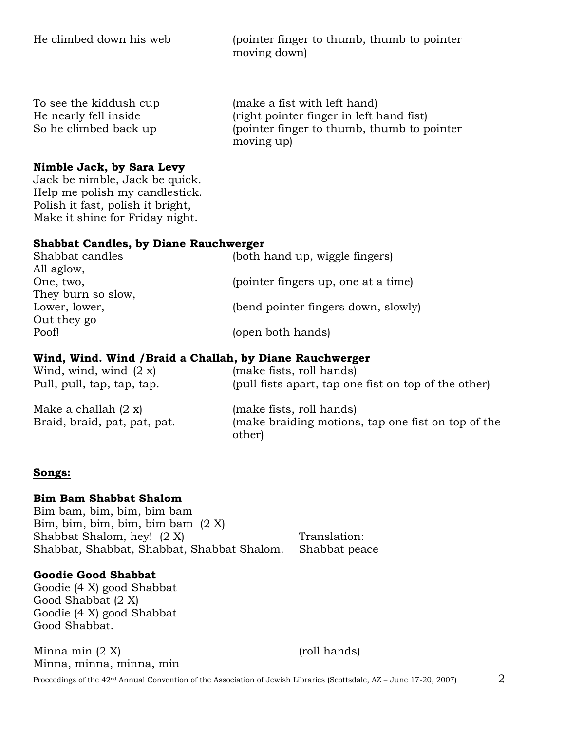He climbed down his web (pointer finger to thumb, thumb to pointer moving down)

To see the kiddush cup (make a fist with left hand) He nearly fell inside (right pointer finger in left hand fist) So he climbed back up (pointer finger to thumb, thumb to pointer moving up)

#### **Nimble Jack, by Sara Levy**

Jack be nimble, Jack be quick. Help me polish my candlestick. Polish it fast, polish it bright, Make it shine for Friday night.

#### **Shabbat Candles, by Diane Rauchwerger**

| Shabbat candles    | (both hand up, wiggle fingers)      |
|--------------------|-------------------------------------|
| All aglow,         |                                     |
| One, two,          | (pointer fingers up, one at a time) |
| They burn so slow, |                                     |
| Lower, lower,      | (bend pointer fingers down, slowly) |
| Out they go        |                                     |
| Poof!              | (open both hands)                   |
|                    |                                     |

#### **Wind, Wind. Wind /Braid a Challah, by Diane Rauchwerger**

| Wind, wind, wind $(2 x)$                               | (make fists, roll hands)                                                                 |
|--------------------------------------------------------|------------------------------------------------------------------------------------------|
| Pull, pull, tap, tap, tap.                             | (pull fists apart, tap one fist on top of the other)                                     |
| Make a challah $(2 x)$<br>Braid, braid, pat, pat, pat. | (make fists, roll hands)<br>(make braiding motions, tap one fist on top of the<br>other) |

#### **Songs:**

#### **Bim Bam Shabbat Shalom**

Bim bam, bim, bim, bim bam Bim, bim, bim, bim, bim bam (2 X) Shabbat Shalom, hey! (2 X) Translation: Shabbat, Shabbat, Shabbat, Shabbat Shalom. Shabbat peace

#### **Goodie Good Shabbat**

Goodie (4 X) good Shabbat Good Shabbat (2 X) Goodie (4 X) good Shabbat Good Shabbat.

 $M$ inna min  $(2 X)$  (roll hands) Minna, minna, minna, min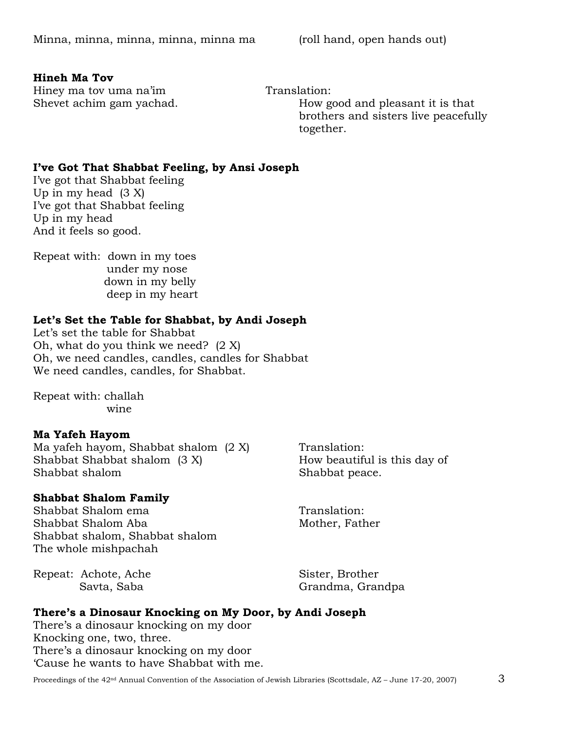#### **Hineh Ma Tov**

Hiney ma tov uma na'im Translation:

Shevet achim gam yachad. How good and pleasant it is that brothers and sisters live peacefully together.

# **I've Got That Shabbat Feeling, by Ansi Joseph**

I've got that Shabbat feeling Up in my head  $(3 X)$ I've got that Shabbat feeling Up in my head And it feels so good.

Repeat with: down in my toes under my nose down in my belly deep in my heart

# **Let's Set the Table for Shabbat, by Andi Joseph**

Let's set the table for Shabbat Oh, what do you think we need? (2 X) Oh, we need candles, candles, candles for Shabbat We need candles, candles, for Shabbat.

Repeat with: challah wine

# **Ma Yafeh Hayom**

Ma yafeh hayom, Shabbat shalom  $(2 \text{ X})$  Translation: Shabbat Shabbat shalom (3 X) How beautiful is this day of Shabbat shalom Shabbat peace.

# **Shabbat Shalom Family**

Shabbat Shalom ema<br>
Translation: Shabbat Shalom Aba Mother, Father Shabbat shalom, Shabbat shalom The whole mishpachah

Repeat: Achote, Ache Sister, Brother

Savta, Saba Grandma, Grandpa

# **There's a Dinosaur Knocking on My Door, by Andi Joseph**

There's a dinosaur knocking on my door Knocking one, two, three. There's a dinosaur knocking on my door 'Cause he wants to have Shabbat with me.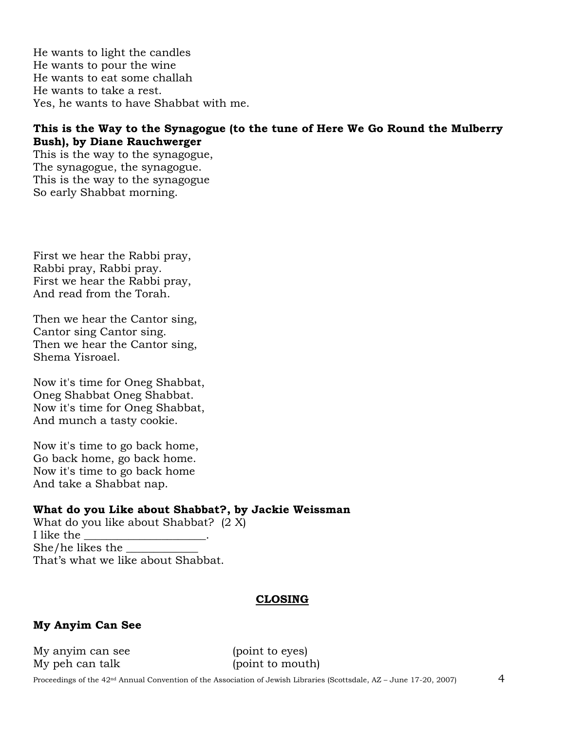He wants to light the candles He wants to pour the wine He wants to eat some challah He wants to take a rest. Yes, he wants to have Shabbat with me.

#### **This is the Way to the Synagogue (to the tune of Here We Go Round the Mulberry Bush), by Diane Rauchwerger**

This is the way to the synagogue, The synagogue, the synagogue. This is the way to the synagogue So early Shabbat morning.

First we hear the Rabbi pray, Rabbi pray, Rabbi pray. First we hear the Rabbi pray, And read from the Torah.

Then we hear the Cantor sing, Cantor sing Cantor sing. Then we hear the Cantor sing, Shema Yisroael.

Now it's time for Oneg Shabbat, Oneg Shabbat Oneg Shabbat. Now it's time for Oneg Shabbat, And munch a tasty cookie.

Now it's time to go back home, Go back home, go back home. Now it's time to go back home And take a Shabbat nap.

#### **What do you Like about Shabbat?, by Jackie Weissman**

What do you like about Shabbat? (2 X) I like the \_\_\_\_\_\_\_\_\_\_\_\_\_\_\_\_\_\_\_\_\_\_. She/he likes the \_\_\_\_\_\_\_\_\_\_\_\_\_ That's what we like about Shabbat.

# **CLOSING**

# **My Anyim Can See**

My anyim can see (point to eyes) My peh can talk (point to mouth)